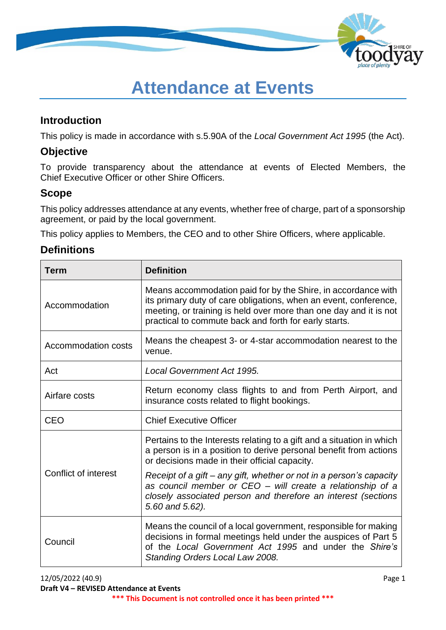

# **Attendance at Events**

### **Introduction**

This policy is made in accordance with s.5.90A of the *Local Government Act 1995* (the Act).

# **Objective**

To provide transparency about the attendance at events of Elected Members, the Chief Executive Officer or other Shire Officers.

# **Scope**

This policy addresses attendance at any events, whether free of charge, part of a sponsorship agreement, or paid by the local government.

This policy applies to Members, the CEO and to other Shire Officers, where applicable.

## **Definitions**

| <b>Term</b>                 | <b>Definition</b>                                                                                                                                                                                                                                               |  |
|-----------------------------|-----------------------------------------------------------------------------------------------------------------------------------------------------------------------------------------------------------------------------------------------------------------|--|
| Accommodation               | Means accommodation paid for by the Shire, in accordance with<br>its primary duty of care obligations, when an event, conference,<br>meeting, or training is held over more than one day and it is not<br>practical to commute back and forth for early starts. |  |
| Accommodation costs         | Means the cheapest 3- or 4-star accommodation nearest to the<br>venue.                                                                                                                                                                                          |  |
| Act                         | Local Government Act 1995.                                                                                                                                                                                                                                      |  |
| Airfare costs               | Return economy class flights to and from Perth Airport, and<br>insurance costs related to flight bookings.                                                                                                                                                      |  |
| <b>CEO</b>                  | <b>Chief Executive Officer</b>                                                                                                                                                                                                                                  |  |
|                             | Pertains to the Interests relating to a gift and a situation in which<br>a person is in a position to derive personal benefit from actions<br>or decisions made in their official capacity.                                                                     |  |
| <b>Conflict of interest</b> | Receipt of a gift - any gift, whether or not in a person's capacity<br>as council member or CEO - will create a relationship of a<br>closely associated person and therefore an interest (sections<br>5.60 and 5.62).                                           |  |
| Council                     | Means the council of a local government, responsible for making<br>decisions in formal meetings held under the auspices of Part 5<br>of the Local Government Act 1995 and under the Shire's<br>Standing Orders Local Law 2008.                                  |  |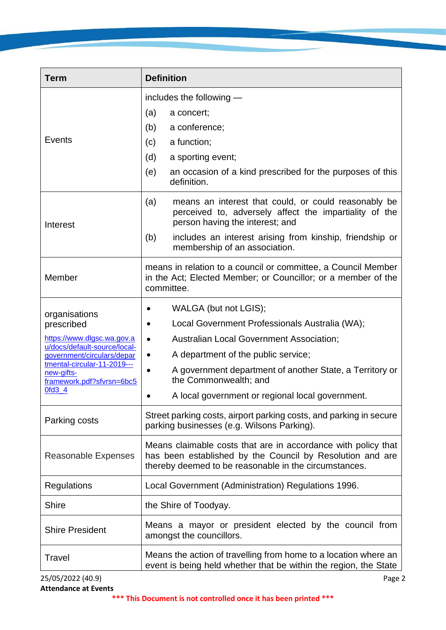| <b>Term</b>                                                            | <b>Definition</b>                                                                                                                                                                   |  |  |
|------------------------------------------------------------------------|-------------------------------------------------------------------------------------------------------------------------------------------------------------------------------------|--|--|
|                                                                        | includes the following -                                                                                                                                                            |  |  |
|                                                                        | (a)<br>a concert;                                                                                                                                                                   |  |  |
|                                                                        | a conference;<br>(b)                                                                                                                                                                |  |  |
| Events                                                                 | a function;<br>(c)                                                                                                                                                                  |  |  |
|                                                                        | (d)<br>a sporting event;                                                                                                                                                            |  |  |
|                                                                        | (e)<br>an occasion of a kind prescribed for the purposes of this<br>definition.                                                                                                     |  |  |
| Interest                                                               | (a)<br>means an interest that could, or could reasonably be<br>perceived to, adversely affect the impartiality of the<br>person having the interest; and                            |  |  |
|                                                                        | includes an interest arising from kinship, friendship or<br>(b)<br>membership of an association.                                                                                    |  |  |
| Member                                                                 | means in relation to a council or committee, a Council Member<br>in the Act; Elected Member; or Councillor; or a member of the<br>committee.                                        |  |  |
| organisations                                                          | WALGA (but not LGIS);                                                                                                                                                               |  |  |
| prescribed                                                             | Local Government Professionals Australia (WA);                                                                                                                                      |  |  |
| https://www.dlgsc.wa.gov.a                                             | <b>Australian Local Government Association;</b><br>$\bullet$                                                                                                                        |  |  |
| u/docs/default-source/local-<br>government/circulars/depar             | A department of the public service;<br>$\bullet$                                                                                                                                    |  |  |
| tmental-circular-11-2019---<br>new-gifts-<br>framework.pdf?sfvrsn=6bc5 | A government department of another State, a Territory or<br>$\bullet$<br>the Commonwealth; and                                                                                      |  |  |
| $0fd3_4$                                                               | A local government or regional local government.                                                                                                                                    |  |  |
| Parking costs                                                          | Street parking costs, airport parking costs, and parking in secure<br>parking businesses (e.g. Wilsons Parking).                                                                    |  |  |
| Reasonable Expenses                                                    | Means claimable costs that are in accordance with policy that<br>has been established by the Council by Resolution and are<br>thereby deemed to be reasonable in the circumstances. |  |  |
| Regulations                                                            | Local Government (Administration) Regulations 1996.                                                                                                                                 |  |  |
| <b>Shire</b>                                                           | the Shire of Toodyay.                                                                                                                                                               |  |  |
| <b>Shire President</b>                                                 | Means a mayor or president elected by the council from<br>amongst the councillors.                                                                                                  |  |  |
| Travel                                                                 | Means the action of travelling from home to a location where an<br>event is being held whether that be within the region, the State                                                 |  |  |
| 25/05/2022 (40.9)                                                      | Page 2                                                                                                                                                                              |  |  |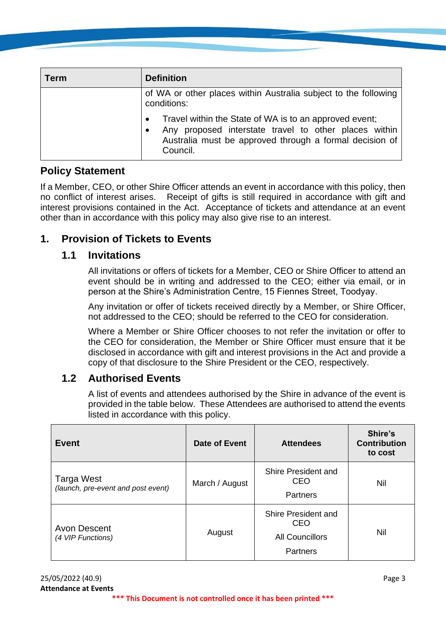| Term | <b>Definition</b>                                                                                                                                                                      |  |  |
|------|----------------------------------------------------------------------------------------------------------------------------------------------------------------------------------------|--|--|
|      | of WA or other places within Australia subject to the following<br>conditions:                                                                                                         |  |  |
|      | Travel within the State of WA is to an approved event;<br>Any proposed interstate travel to other places within<br>Australia must be approved through a formal decision of<br>Council. |  |  |

## **Policy Statement**

If a Member, CEO, or other Shire Officer attends an event in accordance with this policy, then no conflict of interest arises. Receipt of gifts is still required in accordance with gift and interest provisions contained in the Act. Acceptance of tickets and attendance at an event other than in accordance with this policy may also give rise to an interest.

## **1. Provision of Tickets to Events**

#### **1.1 Invitations**

All invitations or offers of tickets for a Member, CEO or Shire Officer to attend an event should be in writing and addressed to the CEO; either via email, or in person at the Shire's Administration Centre, 15 Fiennes Street, Toodyay.

Any invitation or offer of tickets received directly by a Member, or Shire Officer, not addressed to the CEO; should be referred to the CEO for consideration.

Where a Member or Shire Officer chooses to not refer the invitation or offer to the CEO for consideration, the Member or Shire Officer must ensure that it be disclosed in accordance with gift and interest provisions in the Act and provide a copy of that disclosure to the Shire President or the CEO, respectively.

#### **1.2 Authorised Events**

A list of events and attendees authorised by the Shire in advance of the event is provided in the table below. These Attendees are authorised to attend the events listed in accordance with this policy.

| Event                                            | Date of Event  | <b>Attendees</b>                                                        | Shire's<br><b>Contribution</b><br>to cost |
|--------------------------------------------------|----------------|-------------------------------------------------------------------------|-------------------------------------------|
| Targa West<br>(launch, pre-event and post event) | March / August | Shire President and<br><b>CEO</b><br><b>Partners</b>                    | Nil                                       |
| Avon Descent<br>(4 VIP Functions)                | August         | Shire President and<br>CEO<br><b>All Councillors</b><br><b>Partners</b> | Nil                                       |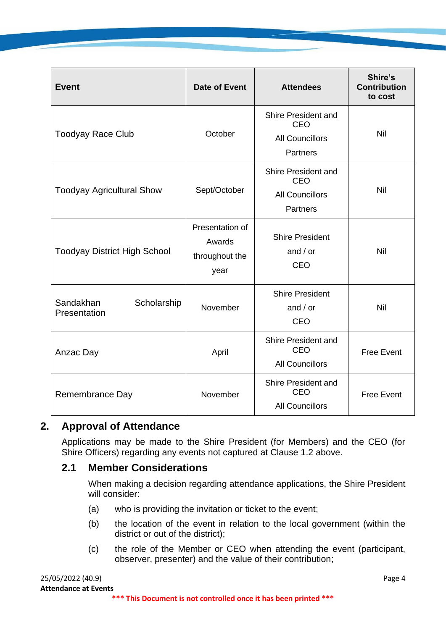| <b>Event</b>                             | <b>Date of Event</b>                                | <b>Attendees</b>                                                               | Shire's<br><b>Contribution</b><br>to cost |
|------------------------------------------|-----------------------------------------------------|--------------------------------------------------------------------------------|-------------------------------------------|
| <b>Toodyay Race Club</b>                 | October                                             | Shire President and<br><b>CEO</b><br><b>All Councillors</b><br><b>Partners</b> | Nil                                       |
| <b>Toodyay Agricultural Show</b>         | Sept/October                                        | Shire President and<br><b>CEO</b><br><b>All Councillors</b><br><b>Partners</b> | Nil                                       |
| <b>Toodyay District High School</b>      | Presentation of<br>Awards<br>throughout the<br>year | <b>Shire President</b><br>and $/$ or<br><b>CEO</b>                             | Nil                                       |
| Sandakhan<br>Scholarship<br>Presentation | November                                            | <b>Shire President</b><br>and $/$ or<br><b>CEO</b>                             | Nil                                       |
| Anzac Day                                | April                                               | Shire President and<br><b>CEO</b><br><b>All Councillors</b>                    | <b>Free Event</b>                         |
| Remembrance Day                          | November                                            | Shire President and<br><b>CEO</b><br><b>All Councillors</b>                    | <b>Free Event</b>                         |

#### **2. Approval of Attendance**

Applications may be made to the Shire President (for Members) and the CEO (for Shire Officers) regarding any events not captured at Clause 1.2 above.

#### **2.1 Member Considerations**

When making a decision regarding attendance applications, the Shire President will consider:

- (a) who is providing the invitation or ticket to the event;
- (b) the location of the event in relation to the local government (within the district or out of the district);
- (c) the role of the Member or CEO when attending the event (participant, observer, presenter) and the value of their contribution;

| 25/05/2022 (40.9)                                                | Page 4 |
|------------------------------------------------------------------|--------|
| <b>Attendance at Events</b>                                      |        |
| *** This Document is not controlled once it has been printed *** |        |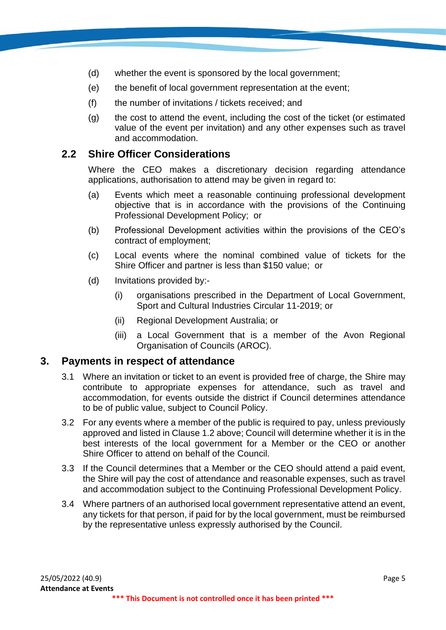- (d) whether the event is sponsored by the local government;
- (e) the benefit of local government representation at the event;
- (f) the number of invitations / tickets received; and
- (g) the cost to attend the event, including the cost of the ticket (or estimated value of the event per invitation) and any other expenses such as travel and accommodation.

#### **2.2 Shire Officer Considerations**

Where the CEO makes a discretionary decision regarding attendance applications, authorisation to attend may be given in regard to:

- (a) Events which meet a reasonable continuing professional development objective that is in accordance with the provisions of the Continuing Professional Development Policy; or
- (b) Professional Development activities within the provisions of the CEO's contract of employment;
- (c) Local events where the nominal combined value of tickets for the Shire Officer and partner is less than \$150 value; or
- (d) Invitations provided by:-
	- (i) organisations prescribed in the Department of Local Government, Sport and Cultural Industries Circular 11-2019; or
	- (ii) Regional Development Australia; or
	- (iii) a Local Government that is a member of the Avon Regional Organisation of Councils (AROC).

#### **3. Payments in respect of attendance**

- 3.1 Where an invitation or ticket to an event is provided free of charge, the Shire may contribute to appropriate expenses for attendance, such as travel and accommodation, for events outside the district if Council determines attendance to be of public value, subject to Council Policy.
- 3.2 For any events where a member of the public is required to pay, unless previously approved and listed in Clause 1.2 above; Council will determine whether it is in the best interests of the local government for a Member or the CEO or another Shire Officer to attend on behalf of the Council.
- 3.3 If the Council determines that a Member or the CEO should attend a paid event, the Shire will pay the cost of attendance and reasonable expenses, such as travel and accommodation subject to the Continuing Professional Development Policy.
- 3.4 Where partners of an authorised local government representative attend an event, any tickets for that person, if paid for by the local government, must be reimbursed by the representative unless expressly authorised by the Council.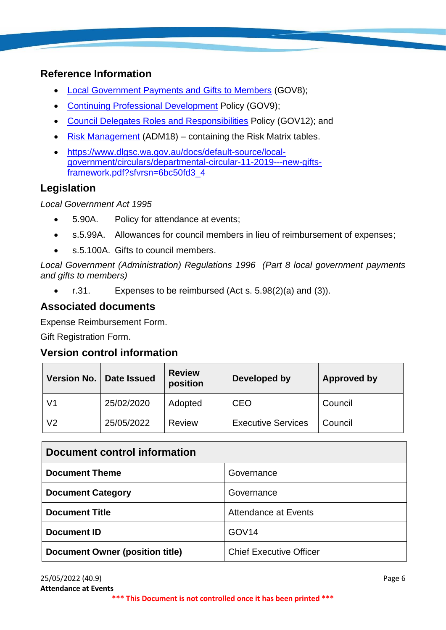# **Reference Information**

- [Local Government Payments and Gifts to Members](https://www.toodyay.wa.gov.au/documents/327/local-government-payments-and-gifts-to-members) (GOV8);
- [Continuing Professional Development](https://www.toodyay.wa.gov.au/documents/321/continuing-professional-development) Policy (GOV9);
- [Council Delegates Roles and Responsibilities](https://www.toodyay.wa.gov.au/documents/323/council-delegates-roles-and-responsibilities) Policy (GOV12); and
- [Risk Management](https://www.toodyay.wa.gov.au/documents/110/risk-management) (ADM18) containing the Risk Matrix tables.
- [https://www.dlgsc.wa.gov.au/docs/default-source/local](https://www.dlgsc.wa.gov.au/docs/default-source/local-government/circulars/departmental-circular-11-2019---new-gifts-framework.pdf?sfvrsn=6bc50fd3_4)[government/circulars/departmental-circular-11-2019---new-gifts](https://www.dlgsc.wa.gov.au/docs/default-source/local-government/circulars/departmental-circular-11-2019---new-gifts-framework.pdf?sfvrsn=6bc50fd3_4)[framework.pdf?sfvrsn=6bc50fd3\\_4](https://www.dlgsc.wa.gov.au/docs/default-source/local-government/circulars/departmental-circular-11-2019---new-gifts-framework.pdf?sfvrsn=6bc50fd3_4)

# **Legislation**

*Local Government Act 1995*

- 5.90A. Policy for attendance at events;
- s.5.99A. Allowances for council members in lieu of reimbursement of expenses;
- s.5.100A. Gifts to council members.

*Local Government (Administration) Regulations 1996 (Part 8 local government payments and gifts to members)*

• r.31. Expenses to be reimbursed (Act s. 5.98(2)(a) and (3)).

## **Associated documents**

Expense Reimbursement Form.

Gift Registration Form.

#### **Version control information**

| <b>Version No.</b> | <b>Date Issued</b> | <b>Review</b><br>position | Developed by              | <b>Approved by</b> |
|--------------------|--------------------|---------------------------|---------------------------|--------------------|
| V <sub>1</sub>     | 25/02/2020         | Adopted                   | <b>CEO</b>                | Council            |
| V <sub>2</sub>     | 25/05/2022         | <b>Review</b>             | <b>Executive Services</b> | Council            |

| Document control information           |                                |  |
|----------------------------------------|--------------------------------|--|
| <b>Document Theme</b>                  | Governance                     |  |
| <b>Document Category</b>               | Governance                     |  |
| <b>Document Title</b>                  | Attendance at Events           |  |
| Document ID                            | GOV <sub>14</sub>              |  |
| <b>Document Owner (position title)</b> | <b>Chief Executive Officer</b> |  |